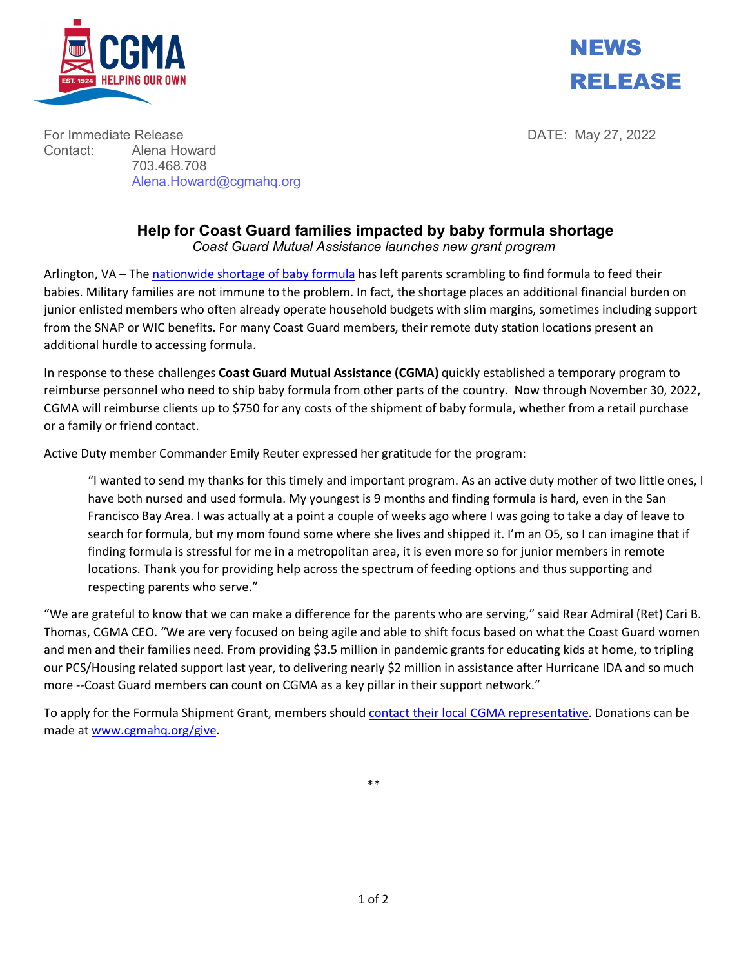



For Immediate Release DATE: May 27, 2022 Contact: Alena Howard 703.468.708 Alena.Howard@cgmahq.org

## **Help for Coast Guard families impacted by baby formula shortage** *Coast Guard Mutual Assistance launches new grant program*

Arlington, VA – The [nationwide shortage of baby formula](https://www.wsj.com/articles/baby-formula-shortage-stuns-states-including-tennessee-kansas-and-delaware-11652526002) has left parents scrambling to find formula to feed their babies. Military families are not immune to the problem. In fact, the shortage places an additional financial burden on junior enlisted members who often already operate household budgets with slim margins, sometimes including support from the SNAP or WIC benefits. For many Coast Guard members, their remote duty station locations present an additional hurdle to accessing formula.

In response to these challenges **Coast Guard Mutual Assistance (CGMA)** quickly established a temporary program to reimburse personnel who need to ship baby formula from other parts of the country. Now through November 30, 2022, CGMA will reimburse clients up to \$750 for any costs of the shipment of baby formula, whether from a retail purchase or a family or friend contact.

Active Duty member Commander Emily Reuter expressed her gratitude for the program:

"I wanted to send my thanks for this timely and important program. As an active duty mother of two little ones, I have both nursed and used formula. My youngest is 9 months and finding formula is hard, even in the San Francisco Bay Area. I was actually at a point a couple of weeks ago where I was going to take a day of leave to search for formula, but my mom found some where she lives and shipped it. I'm an O5, so I can imagine that if finding formula is stressful for me in a metropolitan area, it is even more so for junior members in remote locations. Thank you for providing help across the spectrum of feeding options and thus supporting and respecting parents who serve."

"We are grateful to know that we can make a difference for the parents who are serving," said Rear Admiral (Ret) Cari B. Thomas, CGMA CEO. "We are very focused on being agile and able to shift focus based on what the Coast Guard women and men and their families need. From providing \$3.5 million in pandemic grants for educating kids at home, to tripling our PCS/Housing related support last year, to delivering nearly \$2 million in assistance after Hurricane IDA and so much more --Coast Guard members can count on CGMA as a key pillar in their support network."

To apply for the Formula Shipment Grant, members should [contact their local CGMA representative.](http://www.cgmahq.org/locations) Donations can be made at [www.cgmahq.org/give.](http://www.cgmahq.org/give)

\*\*